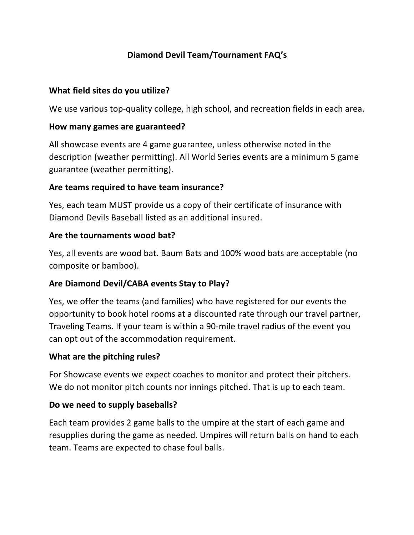# **Diamond Devil Team/Tournament FAQ's**

### **What field sites do you utilize?**

We use various top-quality college, high school, and recreation fields in each area.

#### **How many games are guaranteed?**

All showcase events are 4 game guarantee, unless otherwise noted in the description (weather permitting). All World Series events are a minimum 5 game guarantee (weather permitting).

### **Are teams required to have team insurance?**

Yes, each team MUST provide us a copy of their certificate of insurance with Diamond Devils Baseball listed as an additional insured.

#### **Are the tournaments wood bat?**

Yes, all events are wood bat. Baum Bats and 100% wood bats are acceptable (no composite or bamboo).

### **Are Diamond Devil/CABA events Stay to Play?**

Yes, we offer the teams (and families) who have registered for our events the opportunity to book hotel rooms at a discounted rate through our travel partner, Traveling Teams. If your team is within a 90-mile travel radius of the event you can opt out of the accommodation requirement.

### **What are the pitching rules?**

For Showcase events we expect coaches to monitor and protect their pitchers. We do not monitor pitch counts nor innings pitched. That is up to each team.

### **Do we need to supply baseballs?**

Each team provides 2 game balls to the umpire at the start of each game and resupplies during the game as needed. Umpires will return balls on hand to each team. Teams are expected to chase foul balls.